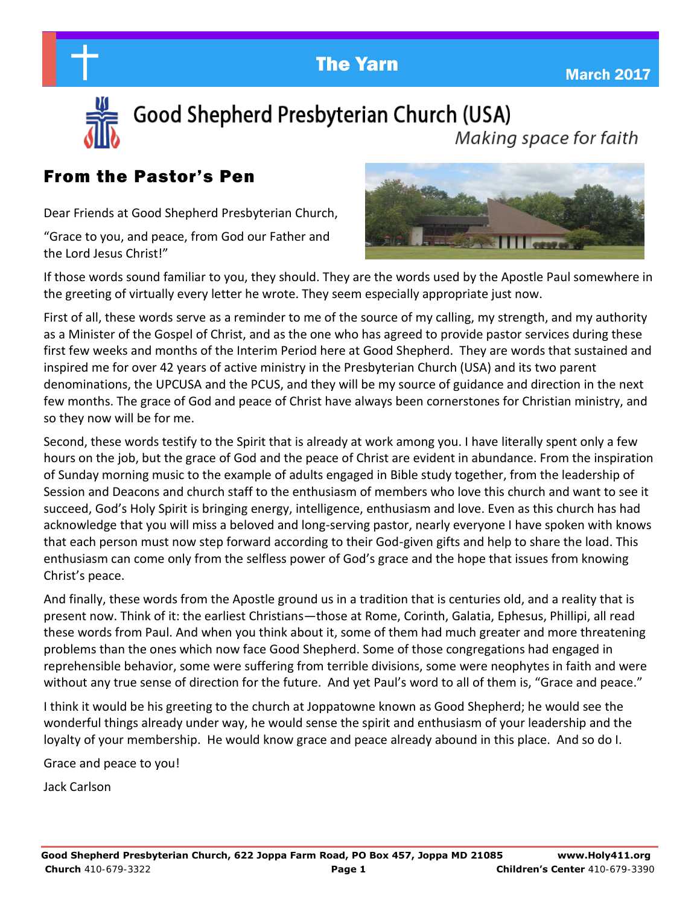**The Yarn March 2017** March 2017



Good Shepherd Presbyterian Church (USA) Making space for faith

## From the Pastor's Pen

Dear Friends at Good Shepherd Presbyterian Church,

"Grace to you, and peace, from God our Father and the Lord Jesus Christ!"



If those words sound familiar to you, they should. They are the words used by the Apostle Paul somewhere in the greeting of virtually every letter he wrote. They seem especially appropriate just now.

First of all, these words serve as a reminder to me of the source of my calling, my strength, and my authority as a Minister of the Gospel of Christ, and as the one who has agreed to provide pastor services during these first few weeks and months of the Interim Period here at Good Shepherd. They are words that sustained and inspired me for over 42 years of active ministry in the Presbyterian Church (USA) and its two parent denominations, the UPCUSA and the PCUS, and they will be my source of guidance and direction in the next few months. The grace of God and peace of Christ have always been cornerstones for Christian ministry, and so they now will be for me.

Second, these words testify to the Spirit that is already at work among you. I have literally spent only a few hours on the job, but the grace of God and the peace of Christ are evident in abundance. From the inspiration of Sunday morning music to the example of adults engaged in Bible study together, from the leadership of Session and Deacons and church staff to the enthusiasm of members who love this church and want to see it succeed, God's Holy Spirit is bringing energy, intelligence, enthusiasm and love. Even as this church has had acknowledge that you will miss a beloved and long-serving pastor, nearly everyone I have spoken with knows that each person must now step forward according to their God-given gifts and help to share the load. This enthusiasm can come only from the selfless power of God's grace and the hope that issues from knowing Christ's peace.

And finally, these words from the Apostle ground us in a tradition that is centuries old, and a reality that is present now. Think of it: the earliest Christians—those at Rome, Corinth, Galatia, Ephesus, Phillipi, all read these words from Paul. And when you think about it, some of them had much greater and more threatening problems than the ones which now face Good Shepherd. Some of those congregations had engaged in reprehensible behavior, some were suffering from terrible divisions, some were neophytes in faith and were without any true sense of direction for the future. And yet Paul's word to all of them is, "Grace and peace."

I think it would be his greeting to the church at Joppatowne known as Good Shepherd; he would see the wonderful things already under way, he would sense the spirit and enthusiasm of your leadership and the loyalty of your membership. He would know grace and peace already abound in this place. And so do I.

Grace and peace to you!

Jack Carlson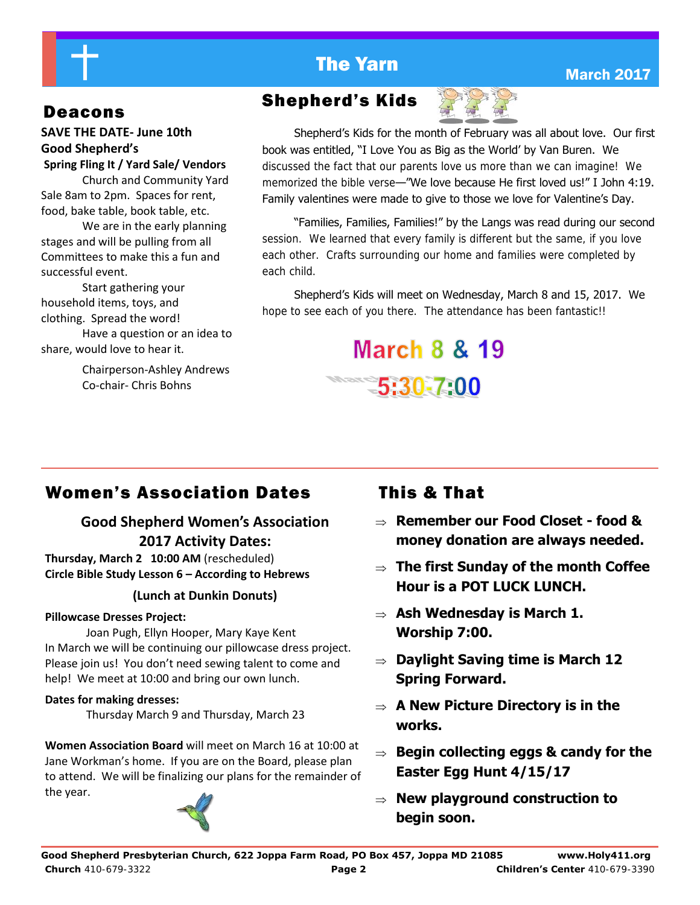# **The Yarn March 2017** March 2017

### **SAVE THE DATE- June 10th Good Shepherd's Spring Fling It / Yard Sale/ Vendors**

 Church and Community Yard Sale 8am to 2pm. Spaces for rent, food, bake table, book table, etc.

 We are in the early planning stages and will be pulling from all Committees to make this a fun and successful event.

 Start gathering your household items, toys, and clothing. Spread the word! Have a question or an idea to share, would love to hear it.

> Chairperson-Ashley Andrews Co-chair- Chris Bohns

# Deacons Shepherd's Kids



Shepherd's Kids for the month of February was all about love. Our first book was entitled, "I Love You as Big as the World' by Van Buren. We discussed the fact that our parents love us more than we can imagine! We memorized the bible verse—"We love because He first loved us!" I John 4:19. Family valentines were made to give to those we love for Valentine's Day.

"Families, Families, Families!" by the Langs was read during our second session. We learned that every family is different but the same, if you love each other. Crafts surrounding our home and families were completed by each child.

Shepherd's Kids will meet on Wednesday, March 8 and 15, 2017. We hope to see each of you there. The attendance has been fantastic!!



# Women's Association Dates This & That

## **Good Shepherd Women's Association 2017 Activity Dates:**

**Thursday, March 2 10:00 AM** (rescheduled) **Circle Bible Study Lesson 6 – According to Hebrews** 

### **(Lunch at Dunkin Donuts)**

### **Pillowcase Dresses Project:**

 Joan Pugh, Ellyn Hooper, Mary Kaye Kent In March we will be continuing our pillowcase dress project. Please join us! You don't need sewing talent to come and help! We meet at 10:00 and bring our own lunch.

### **Dates for making dresses:**

Thursday March 9 and Thursday, March 23

**Women Association Board** will meet on March 16 at 10:00 at Jane Workman's home. If you are on the Board, please plan to attend. We will be finalizing our plans for the remainder of the year.



- **Remember our Food Closet food & money donation are always needed.**
- **The first Sunday of the month Coffee Hour is a POT LUCK LUNCH.**
- **Ash Wednesday is March 1. Worship 7:00.**
- **Daylight Saving time is March 12 Spring Forward.**
- **A New Picture Directory is in the works.**
- **Begin collecting eggs & candy for the Easter Egg Hunt 4/15/17**
- **New playground construction to begin soon.**

**Good Shepherd Presbyterian Church, 622 Joppa Farm Road, PO Box 457, Joppa MD 21085 www.Holy411.org Church** 410-679-3322 **Page 2 Children's Center** 410-679-3390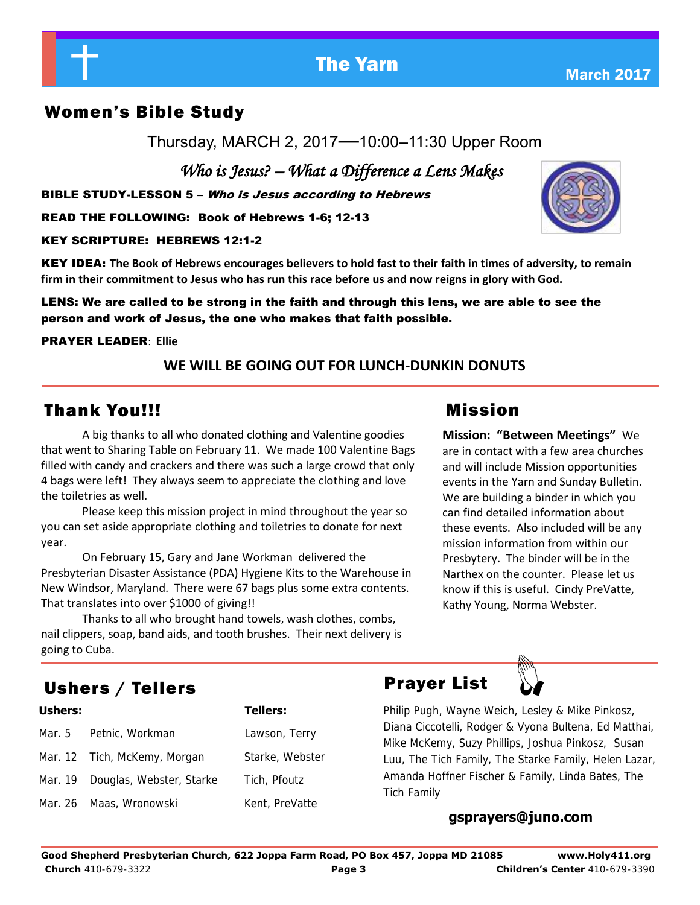

## **WE WILL BE GOING OUT FOR LUNCH-DUNKIN DONUTS**

## Thank You!!!

A big thanks to all who donated clothing and Valentine goodies that went to Sharing Table on February 11. We made 100 Valentine Bags filled with candy and crackers and there was such a large crowd that only 4 bags were left! They always seem to appreciate the clothing and love the toiletries as well.

 Please keep this mission project in mind throughout the year so you can set aside appropriate clothing and toiletries to donate for next year.

 On February 15, Gary and Jane Workman delivered the Presbyterian Disaster Assistance (PDA) Hygiene Kits to the Warehouse in New Windsor, Maryland. There were 67 bags plus some extra contents. That translates into over \$1000 of giving!!

 Thanks to all who brought hand towels, wash clothes, combs, nail clippers, soap, band aids, and tooth brushes. Their next delivery is going to Cuba.

# Ushers / Tellers **Prayer List**

| Ushers:<br><b>Tellers:</b> |                                                                                                                       |  |
|----------------------------|-----------------------------------------------------------------------------------------------------------------------|--|
|                            | Lawson, Terry                                                                                                         |  |
|                            | Starke, Webster                                                                                                       |  |
|                            | Tich, Pfoutz                                                                                                          |  |
|                            | Kent, PreVatte                                                                                                        |  |
|                            | Mar. 5 Petnic, Workman<br>Mar. 12 Tich, McKemy, Morgan<br>Mar. 19 Douglas, Webster, Starke<br>Mar. 26 Maas, Wronowski |  |

# **Mission: "Between Meetings"** We

are in contact with a few area churches and will include Mission opportunities events in the Yarn and Sunday Bulletin. We are building a binder in which you can find detailed information about these events. Also included will be any mission information from within our Presbytery. The binder will be in the Narthex on the counter. Please let us know if this is useful. Cindy PreVatte, Kathy Young, Norma Webster.

### **gsprayers@juno.com**

Philip Pugh, Wayne Weich, Lesley & Mike Pinkosz, Diana Ciccotelli, Rodger & Vyona Bultena, Ed Matthai, Mike McKemy, Suzy Phillips, Joshua Pinkosz, Susan Luu, The Tich Family, The Starke Family, Helen Lazar, Amanda Hoffner Fischer & Family, Linda Bates, The

Tich Family

# Women's Bible Study

Thursday, MARCH 2, 2017—10:00–11:30 Upper Room

 *Who is Jesus? – What a Difference a Lens Makes* 

BIBLE STUDY-LESSON 5 – Who is Jesus according to Hebrews

READ THE FOLLOWING: Book of Hebrews 1-6; 12-13

KEY SCRIPTURE: HEBREWS 12:1-2

KEY IDEA: **The Book of Hebrews encourages believers to hold fast to their faith in times of adversity, to remain firm in their commitment to Jesus who has run this race before us and now reigns in glory with God.** 

LENS: We are called to be strong in the faith and through this lens, we are able to see the person and work of Jesus, the one who makes that faith possible.

### PRAYER LEADER: **Ellie**